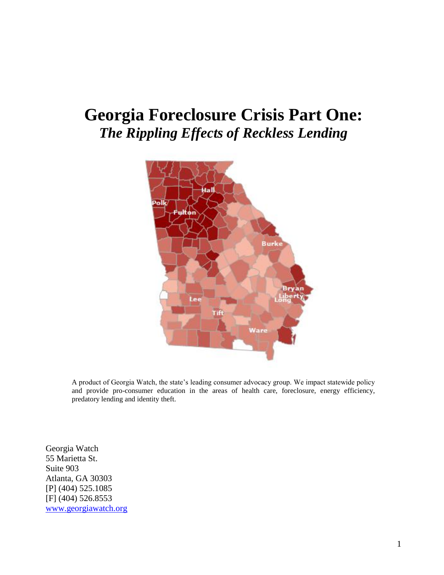# **Georgia Foreclosure Crisis Part One:**  *The Rippling Effects of Reckless Lending*



A product of Georgia Watch, the state"s leading consumer advocacy group. We impact statewide policy and provide pro-consumer education in the areas of health care, foreclosure, energy efficiency, predatory lending and identity theft.

Georgia Watch 55 Marietta St. Suite 903 Atlanta, GA 30303 [P] (404) 525.1085 [F] (404) 526.8553 [www.georgiawatch.org](http://www.georgiawatch.org/)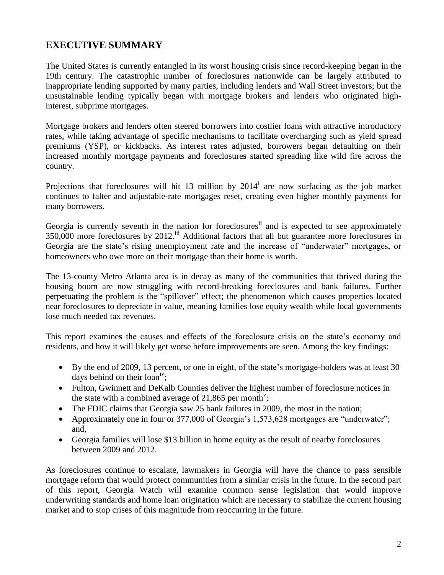# **EXECUTIVE SUMMARY**

The United States is currently entangled in its worst housing crisis since record-keeping began in the 19th century. The catastrophic number of foreclosures nationwide can be largely attributed to inappropriate lending supported by many parties, including lenders and Wall Street investors; but the unsustainable lending typically began with mortgage brokers and lenders who originated highinterest, subprime mortgages.

Mortgage brokers and lenders often steered borrowers into costlier loans with attractive introductory rates, while taking advantage of specific mechanisms to facilitate overcharging such as yield spread premiums (YSP), or kickbacks. As interest rates adjusted, borrowers began defaulting on their increased monthly mortgage payments and foreclosure**s** started spreading like wild fire across the country.

Projections that foreclosures will hit 13 million by  $2014<sup>i</sup>$  are now surfacing as the job market continues to falter and adjustable-rate mortgages reset, creating even higher monthly payments for many borrowers.

Georgia is currently seventh in the nation for foreclosures<sup>ii</sup> and is expected to see approximately 350,000 more foreclosures by 2012.<sup>iii</sup> Additional factors that all but guarantee more foreclosures in Georgia are the state's rising unemployment rate and the increase of "underwater" mortgages, or homeowners who owe more on their mortgage than their home is worth.

The 13-county Metro Atlanta area is in decay as many of the communities that thrived during the housing boom are now struggling with record-breaking foreclosures and bank failures. Further perpetuating the problem is the "spillover" effect; the phenomenon which causes properties located near foreclosures to depreciate in value, meaning families lose equity wealth while local governments lose much needed tax revenues.

This report examine**s** the causes and effects of the foreclosure crisis on the state"s economy and residents, and how it will likely get worse before improvements are seen. Among the key findings:

- By the end of 2009, 13 percent, or one in eight, of the state's mortgage-holders was at least 30 days behind on their  $\text{loan}^{\text{iv}}$ ;
- Fulton, Gwinnett and DeKalb Counties deliver the highest number of foreclosure notices in the state with a combined average of 21,865 per month<sup>y</sup>;
- The FDIC claims that Georgia saw 25 bank failures in 2009, the most in the nation;
- Approximately one in four or 377,000 of Georgia's 1,573,628 mortgages are "underwater"; and,
- Georgia families will lose \$13 billion in home equity as the result of nearby foreclosures between 2009 and 2012.

As foreclosures continue to escalate, lawmakers in Georgia will have the chance to pass sensible mortgage reform that would protect communities from a similar crisis in the future. In the second part of this report, Georgia Watch will examine common sense legislation that would improve underwriting standards and home loan origination which are necessary to stabilize the current housing market and to stop crises of this magnitude from reoccurring in the future.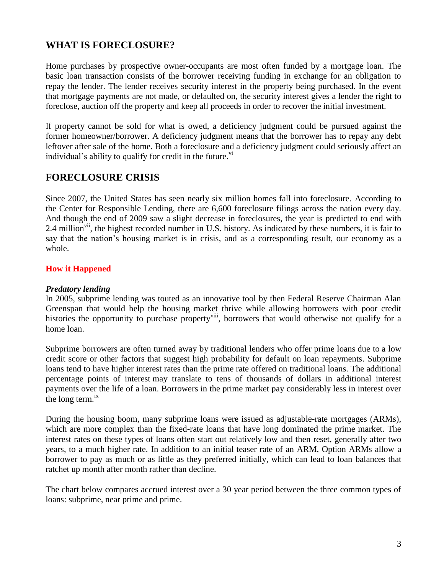# **WHAT IS FORECLOSURE?**

Home purchases by prospective owner-occupants are most often funded by a mortgage loan. The basic loan transaction consists of the borrower receiving funding in exchange for an obligation to repay the lender. The lender receives security interest in the property being purchased. In the event that mortgage payments are not made, or defaulted on, the security interest gives a lender the right to foreclose, auction off the property and keep all proceeds in order to recover the initial investment.

If property cannot be sold for what is owed, a deficiency judgment could be pursued against the former homeowner/borrower. A deficiency judgment means that the borrower has to repay any debt leftover after sale of the home. Both a foreclosure and a deficiency judgment could seriously affect an individual's ability to qualify for credit in the future.<sup>vi</sup>

### **FORECLOSURE CRISIS**

Since 2007, the United States has seen nearly six million homes fall into foreclosure. According to the Center for Responsible Lending, there are 6,600 foreclosure filings across the nation every day. And though the end of 2009 saw a slight decrease in foreclosures, the year is predicted to end with 2.4 million<sup>vii</sup>, the highest recorded number in U.S. history. As indicated by these numbers, it is fair to say that the nation's housing market is in crisis, and as a corresponding result, our economy as a whole.

#### **How it Happened**

#### *Predatory lending*

In 2005, subprime lending was touted as an innovative tool by then Federal Reserve Chairman Alan Greenspan that would help the housing market thrive while allowing borrowers with poor credit histories the opportunity to purchase property<sup>viii</sup>, borrowers that would otherwise not qualify for a home loan.

Subprime borrowers are often turned away by traditional lenders who offer prime loans due to a low credit score or other factors that suggest high probability for default on loan repayments. Subprime loans tend to have higher interest rates than the prime rate offered on traditional loans. The additional percentage points of interest may translate to tens of thousands of dollars in additional interest payments over the life of a loan. Borrowers in the prime market pay considerably less in interest over the long term. $^{ix}$ 

During the housing boom, many subprime loans were issued as adjustable-rate mortgages (ARMs), which are more complex than the fixed-rate loans that have long dominated the prime market. The [interest rates](http://money.howstuffworks.com/interest-rate.htm) on these types of loans often start out relatively low and then reset, generally after two years, to a much higher rate. In addition to an initial teaser rate of an ARM, Option ARMs allow a borrower to pay as much or as little as they preferred initially, which can lead to loan balances that ratchet up month after month rather than decline.

The chart below compares accrued interest over a 30 year period between the three common types of loans: subprime, near prime and prime.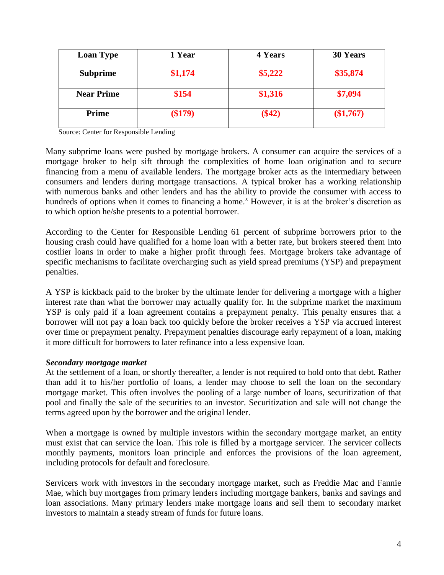| <b>Loan Type</b>  | 1 Year    | <b>4 Years</b> | <b>30 Years</b> |
|-------------------|-----------|----------------|-----------------|
| <b>Subprime</b>   | \$1,174   | \$5,222        | \$35,874        |
| <b>Near Prime</b> | \$154     | \$1,316        | \$7,094         |
| <b>Prime</b>      | $(\$179)$ | $(\$42)$       | (\$1,767)       |

Source: Center for Responsible Lending

Many subprime loans were pushed by mortgage brokers. A consumer can acquire the services of a mortgage broker to help sift through the complexities of home loan origination and to secure financing from a menu of available lenders. The mortgage broker acts as the intermediary between consumers and lenders during mortgage transactions. A typical broker has a working relationship with numerous banks and other lenders and has the ability to provide the consumer with access to hundreds of options when it comes to financing a home.<sup>x</sup> However, it is at the broker's discretion as to which option he/she presents to a potential borrower.

According to the Center for Responsible Lending 61 percent of subprime borrowers prior to the housing crash could have qualified for a home loan with a better rate, but brokers steered them into costlier loans in order to make a higher profit through fees. Mortgage brokers take advantage of specific mechanisms to facilitate overcharging such as yield spread premiums (YSP) and prepayment penalties.

A YSP is kickback paid to the broker by the ultimate lender for delivering a mortgage with a higher interest rate than what the borrower may actually qualify for. In the subprime market the maximum YSP is only paid if a loan agreement contains a prepayment penalty. This penalty ensures that a borrower will not pay a loan back too quickly before the broker receives a YSP via accrued interest over time or prepayment penalty. Prepayment penalties discourage early repayment of a loan, making it more difficult for borrowers to later refinance into a less expensive loan.

#### *Secondary mortgage market*

At the settlement of a loan, or shortly thereafter, a lender is not required to hold onto that debt. Rather than add it to his/her portfolio of loans, a lender may choose to sell the loan on the secondary mortgage market. This often involves the pooling of a large number of loans, securitization of that pool and finally the sale of the securities to an investor. Securitization and sale will not change the terms agreed upon by the borrower and the original lender.

When a mortgage is owned by multiple investors within the secondary mortgage market, an entity must exist that can service the loan. This role is filled by a mortgage servicer. The servicer collects monthly payments, monitors loan principle and enforces the provisions of the loan agreement, including protocols for default and foreclosure.

Servicers work with investors in the secondary mortgage market, such as Freddie Mac and Fannie Mae, which buy mortgages from primary lenders including mortgage bankers, banks and savings and loan associations. Many primary lenders make mortgage loans and sell them to secondary market investors to maintain a steady stream of funds for future loans.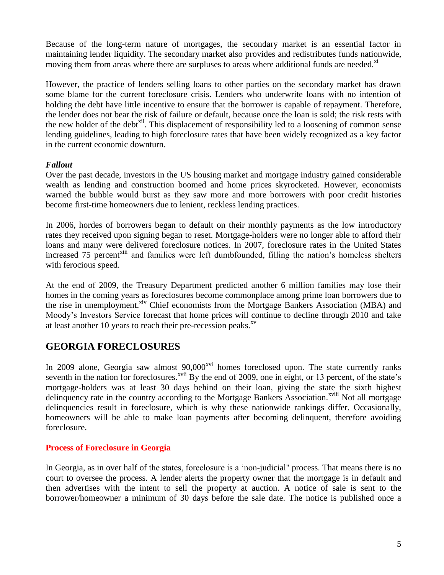Because of the long-term nature of mortgages, the secondary market is an essential factor in maintaining lender liquidity. The secondary market also provides and redistributes funds nationwide, moving them from areas where there are surpluses to areas where additional funds are needed.<sup>xi</sup>

However, the practice of lenders selling loans to other parties on the secondary market has drawn some blame for the current foreclosure crisis. Lenders who underwrite loans with no intention of holding the debt have little incentive to ensure that the borrower is capable of repayment. Therefore, the lender does not bear the risk of failure or default, because once the loan is sold; the risk rests with the new holder of the debt<sup>xii</sup>. This displacement of responsibility led to a loosening of common sense lending guidelines, leading to high foreclosure rates that have been widely recognized as a key factor in the current economic downturn.

#### *Fallout*

Over the past decade, investors in the US housing market and mortgage industry gained considerable wealth as lending and construction boomed and home prices skyrocketed. However, economists warned the bubble would burst as they saw more and more borrowers with poor credit histories become first-time homeowners due to lenient, reckless lending practices.

In 2006, hordes of borrowers began to default on their monthly payments as the low introductory rates they received upon signing began to reset. Mortgage-holders were no longer able to afford their loans and many were delivered foreclosure notices. In 2007, foreclosure rates in the United States increased 75 percent<sup>xiii</sup> and families were left dumbfounded, filling the nation's homeless shelters with ferocious speed.

At the end of 2009, the Treasury Department predicted another 6 million families may lose their homes in the coming years as foreclosures become commonplace among prime loan borrowers due to the rise in unemployment.<sup>xiv</sup> Chief economists from the Mortgage Bankers Association (MBA) and Moody"s Investors Service forecast that home prices will continue to decline through 2010 and take at least another 10 years to reach their pre-recession peaks.<sup>xv</sup>

### **GEORGIA FORECLOSURES**

In 2009 alone, Georgia saw almost 90,000<sup>xvi</sup> homes foreclosed upon. The state currently ranks seventh in the nation for foreclosures.<sup>xvii</sup> By the end of 2009, one in eight, or 13 percent, of the state's mortgage-holders was at least 30 days behind on their loan, giving the state the sixth highest delinquency rate in the country according to the Mortgage Bankers Association.<sup>xviii</sup> Not all mortgage delinquencies result in foreclosure, which is why these nationwide rankings differ. Occasionally, homeowners will be able to make loan payments after becoming delinquent, therefore avoiding foreclosure.

#### **Process of Foreclosure in Georgia**

In Georgia, as in over half of the states, foreclosure is a "non-judicial" process. That means there is no court to oversee the process. A lender alerts the property owner that the mortgage is in default and then advertises with the intent to sell the property at auction. A notice of sale is sent to the borrower/homeowner a minimum of 30 days before the sale date. The notice is published once a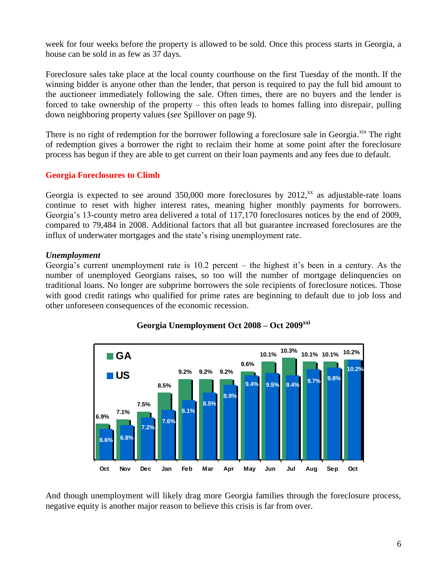week for four weeks before the property is allowed to be sold. Once this process starts in Georgia, a house can be sold in as few as 37 days.

Foreclosure sales take place at the local county courthouse on the first Tuesday of the month. If the winning bidder is anyone other than the lender, that person is required to pay the full bid amount to the auctioneer immediately following the sale. Often times, there are no buyers and the lender is forced to take ownership of the property – this often leads to homes falling into disrepair, pulling down neighboring property values (*see* Spillover on page 9).

There is no right of redemption for the borrower following a foreclosure sale in Georgia.<sup>xix</sup> The right of redemption gives a borrower the right to reclaim their home at some point after the foreclosure process has begun if they are able to get current on their loan payments and any fees due to default.

#### **Georgia Foreclosures to Climb**

Georgia is expected to see around  $350,000$  more foreclosures by  $2012$ , as adjustable-rate loans continue to reset with higher interest rates, meaning higher monthly payments for borrowers. Georgia's 13-county metro area delivered a total of 117,170 foreclosures notices by the end of 2009, compared to 79,484 in 2008. Additional factors that all but guarantee increased foreclosures are the influx of underwater mortgages and the state"s rising unemployment rate.

#### *Unemployment*

Georgia's current unemployment rate is  $10.2$  percent – the highest it's been in a century. As the number of unemployed Georgians raises, so too will the number of mortgage delinquencies on traditional loans. No longer are subprime borrowers the sole recipients of foreclosure notices. Those with good credit ratings who qualified for prime rates are beginning to default due to job loss and other unforeseen consequences of the economic recession.



#### **Georgia Unemployment Oct 2008 – Oct 2009xxi**

And though unemployment will likely drag more Georgia families through the foreclosure process, negative equity is another major reason to believe this crisis is far from over.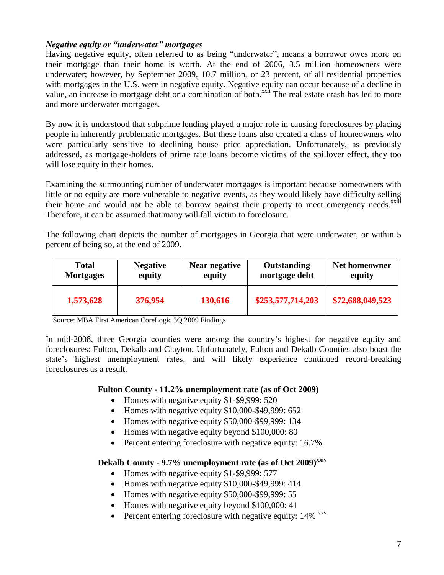#### *Negative equity or "underwater" mortgages*

Having negative equity, often referred to as being "underwater", means a borrower owes more on their mortgage than their home is worth. At the end of 2006, 3.5 million homeowners were underwater; however, by September 2009, 10.7 million, or 23 percent, of all residential properties with mortgages in the U.S. were in negative equity. Negative equity can occur because of a decline in value, an increase in mortgage debt or a combination of both.<sup>xxii</sup> The real estate crash has led to more and more underwater mortgages.

By now it is understood that subprime lending played a major role in causing foreclosures by placing people in inherently problematic mortgages. But these loans also created a class of homeowners who were particularly sensitive to declining house price appreciation. Unfortunately, as previously addressed, as mortgage-holders of prime rate loans become victims of the spillover effect, they too will lose equity in their homes.

Examining the surmounting number of underwater mortgages is important because homeowners with little or no equity are more vulnerable to negative events, as they would likely have difficulty selling their home and would not be able to borrow against their property to meet emergency needs.<sup>xxiii</sup> Therefore, it can be assumed that many will fall victim to foreclosure.

The following chart depicts the number of mortgages in Georgia that were underwater, or within 5 percent of being so, at the end of 2009.

| <b>Total</b>     | <b>Negative</b> | Near negative | Outstanding       | Net homeowner    |
|------------------|-----------------|---------------|-------------------|------------------|
| <b>Mortgages</b> | equity          | equity        | mortgage debt     | equity           |
| 1,573,628        | 376,954         | 130,616       | \$253,577,714,203 | \$72,688,049,523 |

Source: MBA First American CoreLogic 3Q 2009 Findings

In mid-2008, three Georgia counties were among the country's highest for negative equity and foreclosures: Fulton, Dekalb and Clayton. Unfortunately, Fulton and Dekalb Counties also boast the state's highest unemployment rates, and will likely experience continued record-breaking foreclosures as a result.

#### **Fulton County - 11.2% unemployment rate (as of Oct 2009)**

- Homes with negative equity \$1-\$9,999: 520
- $\bullet$  Homes with negative equity \$10,000-\$49,999: 652
- Homes with negative equity \$50,000-\$99,999: 134
- Homes with negative equity beyond \$100,000: 80
- Percent entering foreclosure with negative equity: 16.7%

**Dekalb County - 9.7% unemployment rate (as of Oct 2009)xxiv**

- Homes with negative equity \$1-\$9,999: 577
- Homes with negative equity \$10,000-\$49,999: 414
- Homes with negative equity \$50,000-\$99,999: 55
- Homes with negative equity beyond \$100,000: 41
- Percent entering foreclosure with negative equity:  $14\%$ <sup>xxv</sup>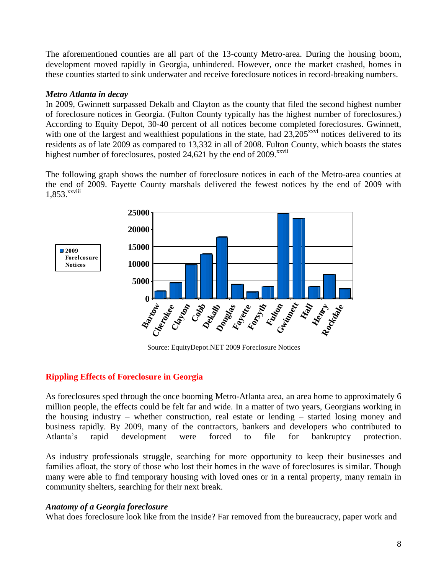The aforementioned counties are all part of the 13-county Metro-area. During the housing boom, development moved rapidly in Georgia, unhindered. However, once the market crashed, homes in these counties started to sink underwater and receive foreclosure notices in record-breaking numbers.

#### *Metro Atlanta in decay*

In 2009, Gwinnett surpassed Dekalb and Clayton as the county that filed the second highest number of foreclosure notices in Georgia. (Fulton County typically has the highest number of foreclosures.) According to Equity Depot, 30-40 percent of all notices become completed foreclosures. Gwinnett, with one of the largest and wealthiest populations in the state, had  $23,205^{xxvi}$  notices delivered to its residents as of late 2009 as compared to 13,332 in all of 2008. Fulton County, which boasts the states highest number of foreclosures, posted 24,621 by the end of 2009.<sup>xxvii</sup>

The following graph shows the number of foreclosure notices in each of the Metro-area counties at the end of 2009. Fayette County marshals delivered the fewest notices by the end of 2009 with 1,853. xxviii



Source: EquityDepot.NET 2009 Foreclosure Notices

#### **Rippling Effects of Foreclosure in Georgia**

As foreclosures sped through the once booming Metro-Atlanta area, an area home to approximately 6 million people, the effects could be felt far and wide. In a matter of two years, Georgians working in the housing industry – whether construction, real estate or lending – started losing money and business rapidly. By 2009, many of the contractors, bankers and developers who contributed to Atlanta"s rapid development were forced to file for bankruptcy protection.

As industry professionals struggle, searching for more opportunity to keep their businesses and families afloat, the story of those who lost their homes in the wave of foreclosures is similar. Though many were able to find temporary housing with loved ones or in a rental property, many remain in community shelters, searching for their next break.

#### *Anatomy of a Georgia foreclosure*

What does foreclosure look like from the inside? Far removed from the bureaucracy, paper work and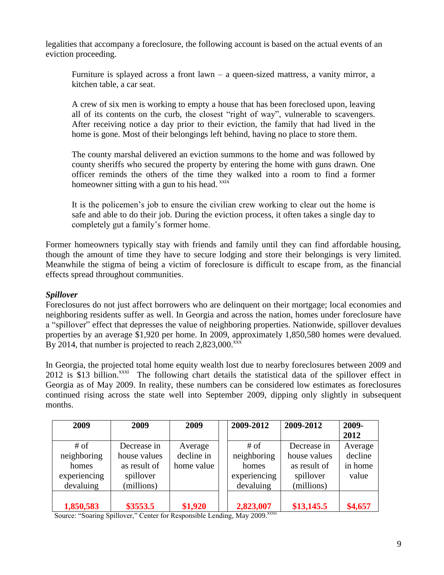legalities that accompany a foreclosure, the following account is based on the actual events of an eviction proceeding.

Furniture is splayed across a front lawn – a queen-sized mattress, a vanity mirror, a kitchen table, a car seat.

A crew of six men is working to empty a house that has been foreclosed upon, leaving all of its contents on the curb, the closest "right of way", vulnerable to scavengers. After receiving notice a day prior to their eviction, the family that had lived in the home is gone. Most of their belongings left behind, having no place to store them.

The county marshal delivered an eviction summons to the home and was followed by county sheriffs who secured the property by entering the home with guns drawn. One officer reminds the others of the time they walked into a room to find a former homeowner sitting with a gun to his head.  $x$ xix

It is the policemen"s job to ensure the civilian crew working to clear out the home is safe and able to do their job. During the eviction process, it often takes a single day to completely gut a family"s former home.

Former homeowners typically stay with friends and family until they can find affordable housing, though the amount of time they have to secure lodging and store their belongings is very limited. Meanwhile the stigma of being a victim of foreclosure is difficult to escape from, as the financial effects spread throughout communities.

#### *Spillover*

Foreclosures do not just affect borrowers who are delinquent on their mortgage; local economies and neighboring residents suffer as well. In Georgia and across the nation, homes under foreclosure have a "spillover" effect that depresses the value of neighboring properties. Nationwide, spillover devalues properties by an average \$1,920 per home. In 2009, approximately 1,850,580 homes were devalued. By 2014, that number is projected to reach  $2,823,000$ . $\frac{xx}{x}$ 

In Georgia, the projected total home equity wealth lost due to nearby foreclosures between 2009 and 2012 is \$13 billion.<sup>xxxi</sup> The following chart details the statistical data of the spillover effect in Georgia as of May 2009. In reality, these numbers can be considered low estimates as foreclosures continued rising across the state well into September 2009, dipping only slightly in subsequent months.

| 2009         | 2009         | 2009       | 2009-2012    | 2009-2012    | 2009-   |
|--------------|--------------|------------|--------------|--------------|---------|
|              |              |            |              |              | 2012    |
| # of         | Decrease in  | Average    | $#$ of       | Decrease in  | Average |
| neighboring  | house values | decline in | neighboring  | house values | decline |
| homes        | as result of | home value | homes        | as result of | in home |
| experiencing | spillover    |            | experiencing | spillover    | value   |
| devaluing    | (millions)   |            | devaluing    | (millions)   |         |
|              |              |            |              |              |         |
| 1,850,583    | \$3553.5     | \$1,920    | 2,823,007    | \$13,145.5   | \$4,657 |

Source: "Soaring Spillover," Center for Responsible Lending, May 2009.<sup>xxxii</sup>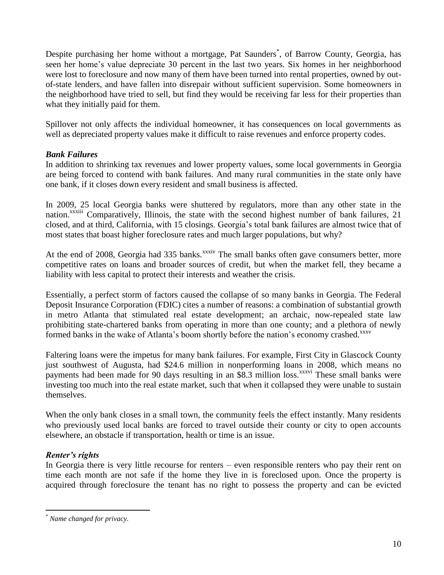Despite purchasing her home without a mortgage, Pat Saunders<sup>\*</sup>, of Barrow County, Georgia, has seen her home"s value depreciate 30 percent in the last two years. Six homes in her neighborhood were lost to foreclosure and now many of them have been turned into rental properties, owned by outof-state lenders, and have fallen into disrepair without sufficient supervision. Some homeowners in the neighborhood have tried to sell, but find they would be receiving far less for their properties than what they initially paid for them.

Spillover not only affects the individual homeowner, it has consequences on local governments as well as depreciated property values make it difficult to raise revenues and enforce property codes.

#### *Bank Failures*

In addition to shrinking tax revenues and lower property values, some local governments in Georgia are being forced to contend with bank failures. And many rural communities in the state only have one bank, if it closes down every resident and small business is affected.

In 2009, 25 local Georgia banks were shuttered by regulators, more than any other state in the nation.<sup>xxxiii</sup> Comparatively, Illinois, the state with the second highest number of bank failures, 21 closed, and at third, California, with 15 closings. Georgia"s total bank failures are almost twice that of most states that boast higher foreclosure rates and much larger populations, but why?

At the end of 2008, Georgia had 335 banks.<sup>xxxiv</sup> The small banks often gave consumers better, more competitive rates on loans and broader sources of credit, but when the market fell, they became a liability with less capital to protect their interests and weather the crisis.

Essentially, a perfect storm of factors caused the collapse of so many banks in Georgia. The Federal Deposit Insurance Corporation (FDIC) cites a number of reasons: a combination of substantial growth in metro Atlanta that stimulated real estate development; an archaic, now-repealed state law prohibiting state-chartered banks from operating in more than one county; and a plethora of newly formed banks in the wake of Atlanta's boom shortly before the nation's economy crashed.<sup>xxxv</sup>

Faltering loans were the impetus for many bank failures. For example, First City in Glascock County just southwest of Augusta, had \$24.6 million in nonperforming loans in 2008, which means no payments had been made for 90 days resulting in an \$8.3 million loss.<sup>xxxvi</sup> These small banks were investing too much into the real estate market, such that when it collapsed they were unable to sustain themselves.

When the only bank closes in a small town, the community feels the effect instantly. Many residents who previously used local banks are forced to travel outside their county or city to open accounts elsewhere, an obstacle if transportation, health or time is an issue.

#### *Renter's rights*

 $\overline{a}$ 

In Georgia there is very little recourse for renters – even responsible renters who pay their rent on time each month are not safe if the home they live in is foreclosed upon. Once the property is acquired through foreclosure the tenant has no right to possess the property and can be evicted

<sup>\*</sup> *Name changed for privacy.*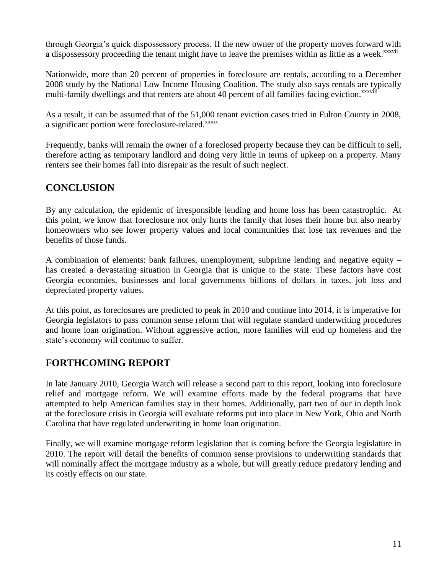through Georgia"s quick dispossessory process. If the new owner of the property moves forward with a dispossessory proceeding the tenant might have to leave the premises within as little as a week.<sup>xxxvii</sup>

Nationwide, more than 20 percent of properties in foreclosure are rentals, according to a December 2008 study by the National Low Income Housing Coalition. The study also says rentals are typically multi-family dwellings and that renters are about 40 percent of all families facing eviction.<sup>xxxviii</sup>

As a result, it can be assumed that of the 51,000 tenant eviction cases tried in Fulton County in 2008, a significant portion were foreclosure-related.<sup>xxxix</sup>

Frequently, banks will remain the owner of a foreclosed property because they can be difficult to sell, therefore acting as temporary landlord and doing very little in terms of upkeep on a property. Many renters see their homes fall into disrepair as the result of such neglect.

### **CONCLUSION**

By any calculation, the epidemic of irresponsible lending and home loss has been catastrophic. At this point, we know that foreclosure not only hurts the family that loses their home but also nearby homeowners who see lower property values and local communities that lose tax revenues and the benefits of those funds.

A combination of elements: bank failures, unemployment, subprime lending and negative equity – has created a devastating situation in Georgia that is unique to the state. These factors have cost Georgia economies, businesses and local governments billions of dollars in taxes, job loss and depreciated property values.

At this point, as foreclosures are predicted to peak in 2010 and continue into 2014, it is imperative for Georgia legislators to pass common sense reform that will regulate standard underwriting procedures and home loan origination. Without aggressive action, more families will end up homeless and the state's economy will continue to suffer.

### **FORTHCOMING REPORT**

In late January 2010, Georgia Watch will release a second part to this report, looking into foreclosure relief and mortgage reform. We will examine efforts made by the federal programs that have attempted to help American families stay in their homes. Additionally, part two of our in depth look at the foreclosure crisis in Georgia will evaluate reforms put into place in New York, Ohio and North Carolina that have regulated underwriting in home loan origination.

Finally, we will examine mortgage reform legislation that is coming before the Georgia legislature in 2010. The report will detail the benefits of common sense provisions to underwriting standards that will nominally affect the mortgage industry as a whole, but will greatly reduce predatory lending and its costly effects on our state.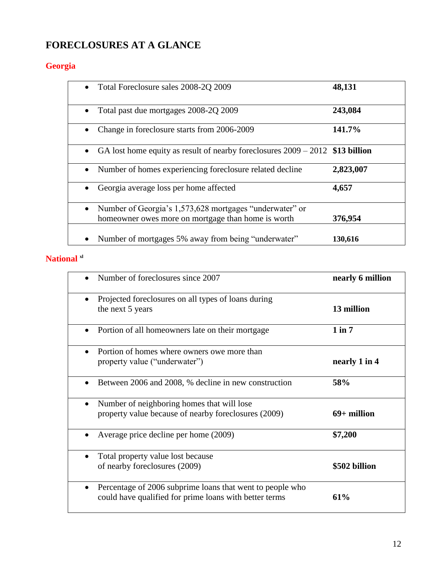# **FORECLOSURES AT A GLANCE**

# **Georgia**

| Total Foreclosure sales 2008-2Q 2009<br>$\bullet$                                                             | 48,131    |
|---------------------------------------------------------------------------------------------------------------|-----------|
| Total past due mortgages 2008-2Q 2009                                                                         | 243,084   |
| Change in foreclosure starts from 2006-2009                                                                   | 141.7%    |
| GA lost home equity as result of nearby foreclosures $2009 - 2012$ \$13 billion                               |           |
| Number of homes experiencing foreclosure related decline                                                      | 2,823,007 |
| Georgia average loss per home affected                                                                        | 4,657     |
| Number of Georgia's 1,573,628 mortgages "underwater" or<br>homeowner owes more on mortgage than home is worth | 376,954   |
| Number of mortgages 5% away from being "underwater"                                                           | 130,616   |

## **National xl**

| Number of foreclosures since 2007                                                                                                | nearly 6 million |
|----------------------------------------------------------------------------------------------------------------------------------|------------------|
| Projected foreclosures on all types of loans during<br>$\bullet$<br>the next 5 years                                             | 13 million       |
| Portion of all homeowners late on their mortgage                                                                                 | $1$ in $7$       |
| Portion of homes where owners owe more than<br>property value ("underwater")                                                     | nearly 1 in 4    |
| Between 2006 and 2008, % decline in new construction<br>$\bullet$                                                                | 58%              |
| Number of neighboring homes that will lose<br>$\bullet$                                                                          |                  |
| property value because of nearby foreclosures (2009)                                                                             | $69+$ million    |
| Average price decline per home (2009)<br>$\bullet$                                                                               | \$7,200          |
| Total property value lost because<br>$\bullet$                                                                                   |                  |
| of nearby foreclosures (2009)                                                                                                    | \$502 billion    |
| Percentage of 2006 subprime loans that went to people who<br>$\bullet$<br>could have qualified for prime loans with better terms | 61%              |